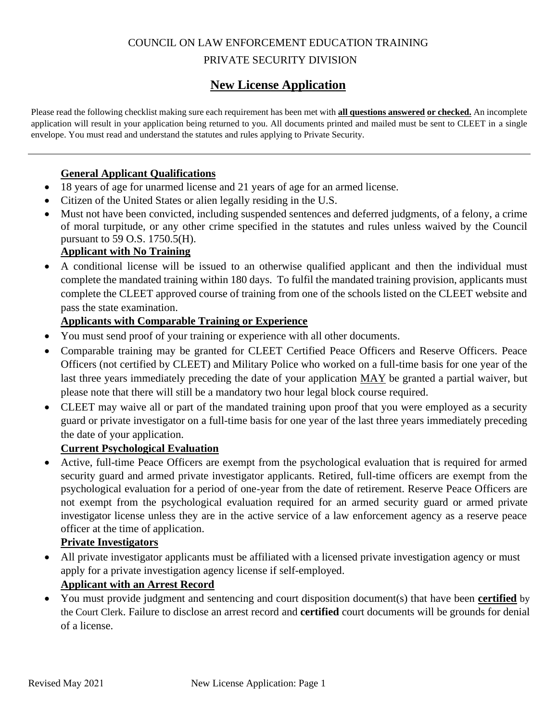# COUNCIL ON LAW ENFORCEMENT EDUCATION TRAINING PRIVATE SECURITY DIVISION

# **New License Application**

Please read the following checklist making sure each requirement has been met with **all questions answered or checked.** An incomplete application will result in your application being returned to you. All documents printed and mailed must be sent to CLEET in a single envelope. You must read and understand the statutes and rules applying to Private Security.

### **General Applicant Qualifications**

- 18 years of age for unarmed license and 21 years of age for an armed license.
- Citizen of the United States or alien legally residing in the U.S.
- Must not have been convicted, including suspended sentences and deferred judgments, of a felony, a crime of moral turpitude, or any other crime specified in the statutes and rules unless waived by the Council pursuant to 59 O.S. 1750.5(H).

## **Applicant with No Training**

• A conditional license will be issued to an otherwise qualified applicant and then the individual must complete the mandated training within 180 days. To fulfil the mandated training provision, applicants must complete the CLEET approved course of training from one of the schools listed on the CLEET website and pass the state examination.

### **Applicants with Comparable Training or Experience**

- You must send proof of your training or experience with all other documents.
- Comparable training may be granted for CLEET Certified Peace Officers and Reserve Officers. Peace Officers (not certified by CLEET) and Military Police who worked on a full-time basis for one year of the last three years immediately preceding the date of your application MAY be granted a partial waiver, but please note that there will still be a mandatory two hour legal block course required.
- CLEET may waive all or part of the mandated training upon proof that you were employed as a security guard or private investigator on a full-time basis for one year of the last three years immediately preceding the date of your application.

### **Current Psychological Evaluation**

• Active, full-time Peace Officers are exempt from the psychological evaluation that is required for armed security guard and armed private investigator applicants. Retired, full-time officers are exempt from the psychological evaluation for a period of one-year from the date of retirement. Reserve Peace Officers are not exempt from the psychological evaluation required for an armed security guard or armed private investigator license unless they are in the active service of a law enforcement agency as a reserve peace officer at the time of application.

### **Private Investigators**

• All private investigator applicants must be affiliated with a licensed private investigation agency or must apply for a private investigation agency license if self-employed.

### **Applicant with an Arrest Record**

• You must provide judgment and sentencing and court disposition document(s) that have been **certified** by the Court Clerk. Failure to disclose an arrest record and **certified** court documents will be grounds for denial of a license.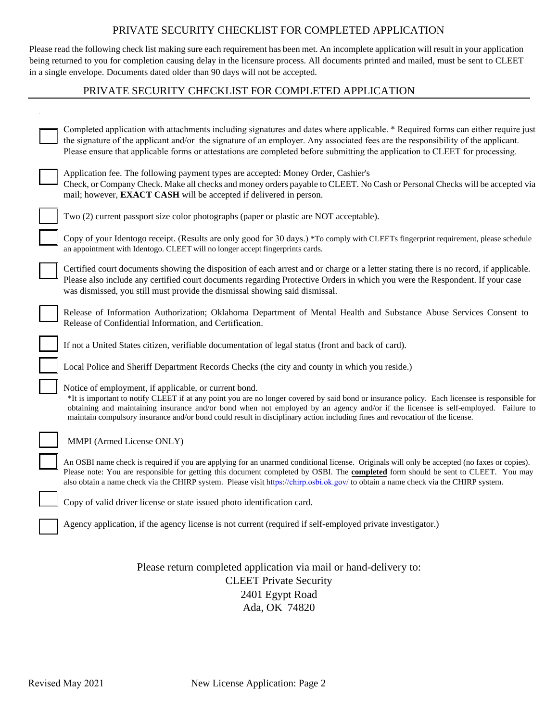### PRIVATE SECURITY CHECKLIST FOR COMPLETED APPLICATION

Please read the following check list making sure each requirement has been met. An incomplete application will result in your application being returned to you for completion causing delay in the licensure process. All documents printed and mailed, must be sent to CLEET in a single envelope. Documents dated older than 90 days will not be accepted.

### PRIVATE SECURITY CHECKLIST FOR COMPLETED APPLICATION

| Completed application with attachments including signatures and dates where applicable. * Required forms can either require just<br>the signature of the applicant and/or the signature of an employer. Any associated fees are the responsibility of the applicant.<br>Please ensure that applicable forms or attestations are completed before submitting the application to CLEET for processing.                                                                         |
|------------------------------------------------------------------------------------------------------------------------------------------------------------------------------------------------------------------------------------------------------------------------------------------------------------------------------------------------------------------------------------------------------------------------------------------------------------------------------|
| Application fee. The following payment types are accepted: Money Order, Cashier's<br>Check, or Company Check. Make all checks and money orders payable to CLEET. No Cash or Personal Checks will be accepted via<br>mail; however, <b>EXACT CASH</b> will be accepted if delivered in person.                                                                                                                                                                                |
| Two (2) current passport size color photographs (paper or plastic are NOT acceptable).                                                                                                                                                                                                                                                                                                                                                                                       |
| Copy of your Identogo receipt. (Results are only good for 30 days.) *To comply with CLEETs fingerprint requirement, please schedule<br>an appointment with Identogo. CLEET will no longer accept fingerprints cards.                                                                                                                                                                                                                                                         |
| Certified court documents showing the disposition of each arrest and or charge or a letter stating there is no record, if applicable.<br>Please also include any certified court documents regarding Protective Orders in which you were the Respondent. If your case<br>was dismissed, you still must provide the dismissal showing said dismissal.                                                                                                                         |
| Release of Information Authorization; Oklahoma Department of Mental Health and Substance Abuse Services Consent to<br>Release of Confidential Information, and Certification.                                                                                                                                                                                                                                                                                                |
| If not a United States citizen, verifiable documentation of legal status (front and back of card).                                                                                                                                                                                                                                                                                                                                                                           |
| Local Police and Sheriff Department Records Checks (the city and county in which you reside.)                                                                                                                                                                                                                                                                                                                                                                                |
| Notice of employment, if applicable, or current bond.<br>*It is important to notify CLEET if at any point you are no longer covered by said bond or insurance policy. Each licensee is responsible for<br>obtaining and maintaining insurance and/or bond when not employed by an agency and/or if the licensee is self-employed. Failure to<br>maintain compulsory insurance and/or bond could result in disciplinary action including fines and revocation of the license. |
| MMPI (Armed License ONLY)                                                                                                                                                                                                                                                                                                                                                                                                                                                    |
| An OSBI name check is required if you are applying for an unarmed conditional license. Originals will only be accepted (no faxes or copies).<br>Please note: You are responsible for getting this document completed by OSBI. The completed form should be sent to CLEET. You may<br>also obtain a name check via the CHIRP system. Please visit https://chirp.osbi.ok.gov/ to obtain a name check via the CHIRP system.                                                     |
| Copy of valid driver license or state issued photo identification card.                                                                                                                                                                                                                                                                                                                                                                                                      |
| Agency application, if the agency license is not current (required if self-employed private investigator.)                                                                                                                                                                                                                                                                                                                                                                   |
| Please return completed application via mail or hand-delivery to:<br><b>CLEET Private Security</b><br>2401 Egypt Road<br>Ada, OK 74820                                                                                                                                                                                                                                                                                                                                       |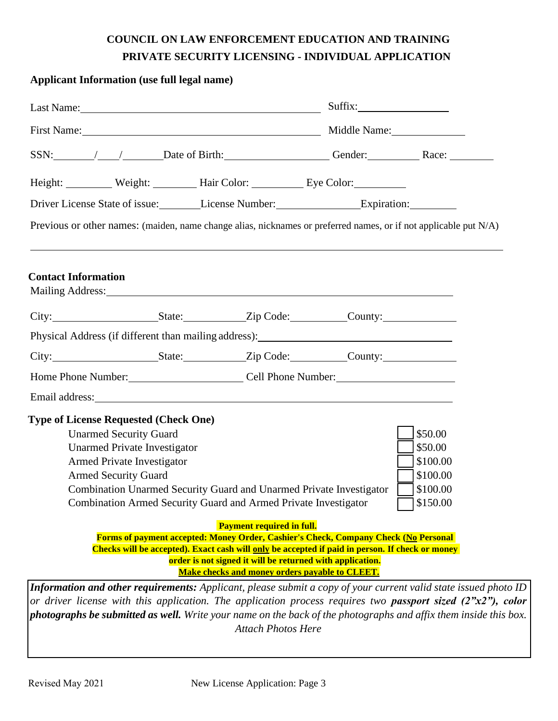# **COUNCIL ON LAW ENFORCEMENT EDUCATION AND TRAINING PRIVATE SECURITY LICENSING - INDIVIDUAL APPLICATION**

| <b>Applicant Information (use full legal name)</b>                                                                                                                                                                             |                                                                 |                                                                                                                                                              |                          |  |
|--------------------------------------------------------------------------------------------------------------------------------------------------------------------------------------------------------------------------------|-----------------------------------------------------------------|--------------------------------------------------------------------------------------------------------------------------------------------------------------|--------------------------|--|
| Last Name: 1988 and 2008 and 2008 and 2008 and 2008 and 2008 and 2008 and 2008 and 2008 and 2008 and 2008 and 2008 and 2008 and 2008 and 2008 and 2008 and 2008 and 2008 and 2008 and 2008 and 2008 and 2008 and 2008 and 2008 |                                                                 |                                                                                                                                                              |                          |  |
|                                                                                                                                                                                                                                |                                                                 |                                                                                                                                                              | First Name: Middle Name: |  |
| SSN: /// Date of Birth: Gender: Race: Race:                                                                                                                                                                                    |                                                                 |                                                                                                                                                              |                          |  |
| Height: Weight: Weight: Hair Color: Eye Color:                                                                                                                                                                                 |                                                                 |                                                                                                                                                              |                          |  |
| Driver License State of issue: License Number: Expiration: Expiration:                                                                                                                                                         |                                                                 |                                                                                                                                                              |                          |  |
| Previous or other names: (maiden, name change alias, nicknames or preferred names, or if not applicable put N/A)                                                                                                               |                                                                 |                                                                                                                                                              |                          |  |
| <b>Contact Information</b><br>Mailing Address: 1988 and 2008 and 2008 and 2008 and 2008 and 2008 and 2008 and 2008 and 2008 and 2008 and 200                                                                                   |                                                                 |                                                                                                                                                              |                          |  |
| City: State: Zip Code: County:                                                                                                                                                                                                 |                                                                 |                                                                                                                                                              |                          |  |
|                                                                                                                                                                                                                                |                                                                 |                                                                                                                                                              |                          |  |
| City: State: Zip Code: County:                                                                                                                                                                                                 |                                                                 |                                                                                                                                                              |                          |  |
| Home Phone Number: Cell Phone Number:                                                                                                                                                                                          |                                                                 |                                                                                                                                                              |                          |  |
|                                                                                                                                                                                                                                |                                                                 |                                                                                                                                                              |                          |  |
| <b>Type of License Requested (Check One)</b>                                                                                                                                                                                   |                                                                 |                                                                                                                                                              |                          |  |
| <b>Unarmed Security Guard</b>                                                                                                                                                                                                  |                                                                 |                                                                                                                                                              | \$50.00                  |  |
| <b>Unarmed Private Investigator</b>                                                                                                                                                                                            |                                                                 |                                                                                                                                                              | \$50.00                  |  |
| Armed Private Investigator                                                                                                                                                                                                     |                                                                 |                                                                                                                                                              | \$100.00                 |  |
| <b>Armed Security Guard</b>                                                                                                                                                                                                    |                                                                 |                                                                                                                                                              | \$100.00                 |  |
|                                                                                                                                                                                                                                |                                                                 | Combination Unarmed Security Guard and Unarmed Private Investigator                                                                                          | \$100.00                 |  |
|                                                                                                                                                                                                                                | Combination Armed Security Guard and Armed Private Investigator |                                                                                                                                                              | \$150.00                 |  |
|                                                                                                                                                                                                                                | <b>Payment required in full.</b>                                |                                                                                                                                                              |                          |  |
|                                                                                                                                                                                                                                |                                                                 | <b>Forms of payment accepted: Money Order, Cashier's Check, Company Check (No Personal</b>                                                                   |                          |  |
|                                                                                                                                                                                                                                |                                                                 | Checks will be accepted). Exact cash will only be accepted if paid in person. If check or money<br>order is not signed it will be returned with application. |                          |  |
|                                                                                                                                                                                                                                |                                                                 | Make checks and money orders payable to CLEET.                                                                                                               |                          |  |
| Information and other requirements: Applicant, please submit a copy of your current valid state issued photo ID                                                                                                                |                                                                 |                                                                                                                                                              |                          |  |
| or driver license with this application. The application process requires two <b>passport sized</b> $(2"x2")$ , color                                                                                                          |                                                                 |                                                                                                                                                              |                          |  |
| photographs be submitted as well. Write your name on the back of the photographs and affix them inside this box.                                                                                                               |                                                                 |                                                                                                                                                              |                          |  |
|                                                                                                                                                                                                                                | <b>Attach Photos Here</b>                                       |                                                                                                                                                              |                          |  |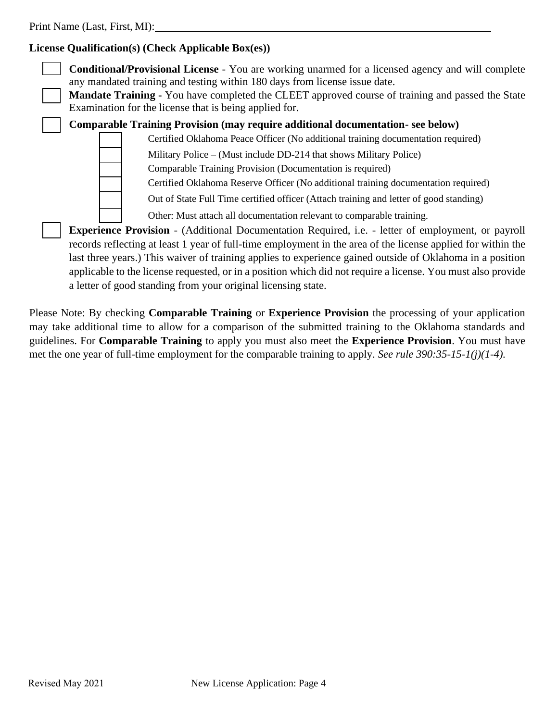### **License Qualification(s) (Check Applicable Box(es))**

| <b>Conditional/Provisional License</b> - You are working unarmed for a licensed agency and will complete<br>any mandated training and testing within 180 days from license issue date.<br><b>Mandate Training -</b> You have completed the CLEET approved course of training and passed the State<br>Examination for the license that is being applied for.                                                                                                                                                             |
|-------------------------------------------------------------------------------------------------------------------------------------------------------------------------------------------------------------------------------------------------------------------------------------------------------------------------------------------------------------------------------------------------------------------------------------------------------------------------------------------------------------------------|
| Comparable Training Provision (may require additional documentation-see below)                                                                                                                                                                                                                                                                                                                                                                                                                                          |
| Certified Oklahoma Peace Officer (No additional training documentation required)                                                                                                                                                                                                                                                                                                                                                                                                                                        |
| Military Police – (Must include DD-214 that shows Military Police)                                                                                                                                                                                                                                                                                                                                                                                                                                                      |
| Comparable Training Provision (Documentation is required)                                                                                                                                                                                                                                                                                                                                                                                                                                                               |
| Certified Oklahoma Reserve Officer (No additional training documentation required)                                                                                                                                                                                                                                                                                                                                                                                                                                      |
| Out of State Full Time certified officer (Attach training and letter of good standing)                                                                                                                                                                                                                                                                                                                                                                                                                                  |
| Other: Must attach all documentation relevant to comparable training.                                                                                                                                                                                                                                                                                                                                                                                                                                                   |
| <b>Experience Provision</b> - (Additional Documentation Required, i.e. - letter of employment, or payroll<br>records reflecting at least 1 year of full-time employment in the area of the license applied for within the<br>last three years.) This waiver of training applies to experience gained outside of Oklahoma in a position<br>applicable to the license requested, or in a position which did not require a license. You must also provide<br>a letter of good standing from your original licensing state. |

Please Note: By checking **Comparable Training** or **Experience Provision** the processing of your application may take additional time to allow for a comparison of the submitted training to the Oklahoma standards and guidelines. For **Comparable Training** to apply you must also meet the **Experience Provision**. You must have met the one year of full-time employment for the comparable training to apply. *See rule 390:35-15-1(j)(1-4).*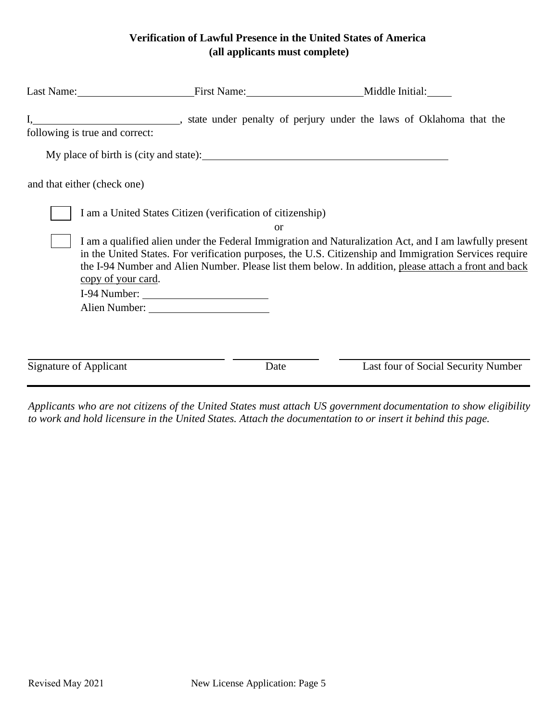### **Verification of Lawful Presence in the United States of America (all applicants must complete)**

| Last Name: First Name: Middle Initial:                                           |               |                                                                                                                                                                                                                                                                                                                           |
|----------------------------------------------------------------------------------|---------------|---------------------------------------------------------------------------------------------------------------------------------------------------------------------------------------------------------------------------------------------------------------------------------------------------------------------------|
| following is true and correct:                                                   |               |                                                                                                                                                                                                                                                                                                                           |
|                                                                                  |               |                                                                                                                                                                                                                                                                                                                           |
| and that either (check one)                                                      |               |                                                                                                                                                                                                                                                                                                                           |
| I am a United States Citizen (verification of citizenship)<br>copy of your card. | <sub>or</sub> | I am a qualified alien under the Federal Immigration and Naturalization Act, and I am lawfully present<br>in the United States. For verification purposes, the U.S. Citizenship and Immigration Services require<br>the I-94 Number and Alien Number. Please list them below. In addition, please attach a front and back |
| <b>Signature of Applicant</b>                                                    | Date          | Last four of Social Security Number                                                                                                                                                                                                                                                                                       |

*Applicants who are not citizens of the United States must attach US government documentation to show eligibility to work and hold licensure in the United States. Attach the documentation to or insert it behind this page.*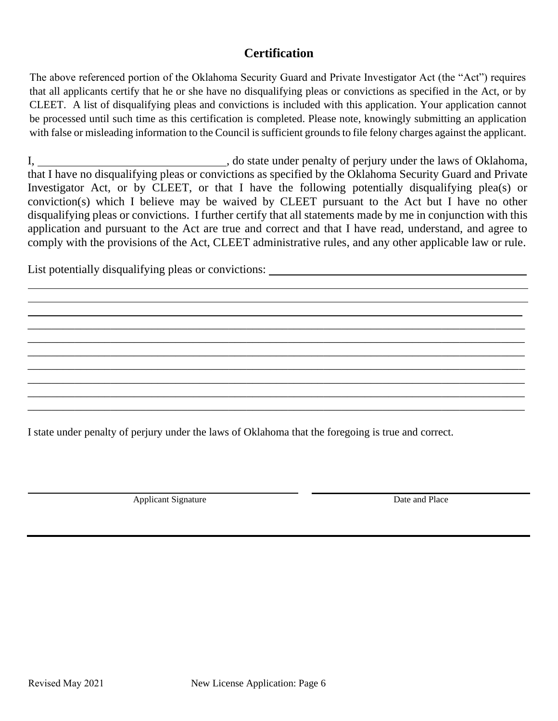# **Certification**

The above referenced portion of the Oklahoma Security Guard and Private Investigator Act (the "Act") requires that all applicants certify that he or she have no disqualifying pleas or convictions as specified in the Act, or by CLEET. A list of disqualifying pleas and convictions is included with this application. Your application cannot be processed until such time as this certification is completed. Please note, knowingly submitting an application with false or misleading information to the Council is sufficient grounds to file felony charges against the applicant.

I, , do state under penalty of perjury under the laws of Oklahoma, that I have no disqualifying pleas or convictions as specified by the Oklahoma Security Guard and Private Investigator Act, or by CLEET, or that I have the following potentially disqualifying plea(s) or conviction(s) which I believe may be waived by CLEET pursuant to the Act but I have no other disqualifying pleas or convictions. I further certify that all statements made by me in conjunction with this application and pursuant to the Act are true and correct and that I have read, understand, and agree to comply with the provisions of the Act, CLEET administrative rules, and any other applicable law or rule.

\_\_\_\_\_\_\_\_\_\_\_\_\_\_\_\_\_\_\_\_\_\_\_\_\_\_\_\_\_\_\_\_\_\_\_\_\_\_\_\_\_\_\_\_\_\_\_\_\_\_\_\_\_\_\_\_\_\_\_\_\_\_\_\_\_\_\_\_\_\_\_\_\_\_\_\_\_\_\_\_\_\_\_\_ \_\_\_\_\_\_\_\_\_\_\_\_\_\_\_\_\_\_\_\_\_\_\_\_\_\_\_\_\_\_\_\_\_\_\_\_\_\_\_\_\_\_\_\_\_\_\_\_\_\_\_\_\_\_\_\_\_\_\_\_\_\_\_\_\_\_\_\_\_\_\_\_\_\_\_\_\_\_\_\_\_\_\_\_ \_\_\_\_\_\_\_\_\_\_\_\_\_\_\_\_\_\_\_\_\_\_\_\_\_\_\_\_\_\_\_\_\_\_\_\_\_\_\_\_\_\_\_\_\_\_\_\_\_\_\_\_\_\_\_\_\_\_\_\_\_\_\_\_\_\_\_\_\_\_\_\_\_\_\_\_\_\_\_\_\_\_\_\_ \_\_\_\_\_\_\_\_\_\_\_\_\_\_\_\_\_\_\_\_\_\_\_\_\_\_\_\_\_\_\_\_\_\_\_\_\_\_\_\_\_\_\_\_\_\_\_\_\_\_\_\_\_\_\_\_\_\_\_\_\_\_\_\_\_\_\_\_\_\_\_\_\_\_\_\_\_\_\_\_\_\_\_\_ \_\_\_\_\_\_\_\_\_\_\_\_\_\_\_\_\_\_\_\_\_\_\_\_\_\_\_\_\_\_\_\_\_\_\_\_\_\_\_\_\_\_\_\_\_\_\_\_\_\_\_\_\_\_\_\_\_\_\_\_\_\_\_\_\_\_\_\_\_\_\_\_\_\_\_\_\_\_\_\_\_\_\_\_ \_\_\_\_\_\_\_\_\_\_\_\_\_\_\_\_\_\_\_\_\_\_\_\_\_\_\_\_\_\_\_\_\_\_\_\_\_\_\_\_\_\_\_\_\_\_\_\_\_\_\_\_\_\_\_\_\_\_\_\_\_\_\_\_\_\_\_\_\_\_\_\_\_\_\_\_\_\_\_\_\_\_\_\_ \_\_\_\_\_\_\_\_\_\_\_\_\_\_\_\_\_\_\_\_\_\_\_\_\_\_\_\_\_\_\_\_\_\_\_\_\_\_\_\_\_\_\_\_\_\_\_\_\_\_\_\_\_\_\_\_\_\_\_\_\_\_\_\_\_\_\_\_\_\_\_\_\_\_\_\_\_\_\_\_\_\_\_\_

List potentially disqualifying pleas or convictions: \_\_\_\_\_\_\_\_\_\_\_\_\_\_\_\_\_\_\_\_\_\_\_\_\_\_\_\_

I state under penalty of perjury under the laws of Oklahoma that the foregoing is true and correct.

Applicant Signature Date and Place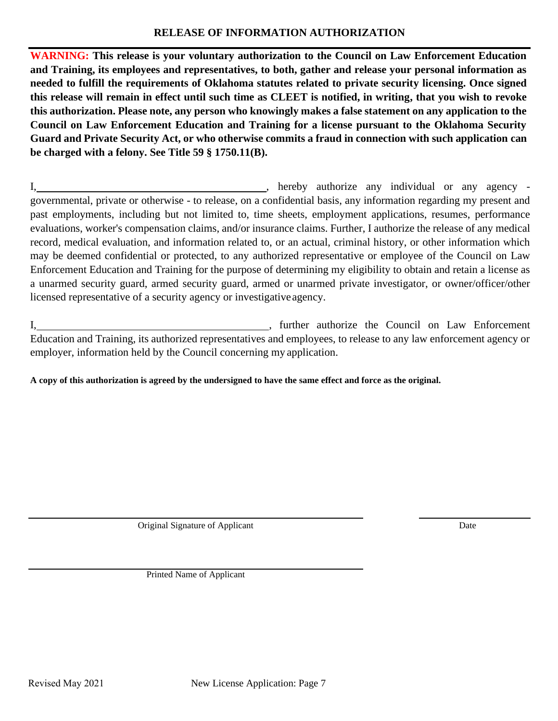### **RELEASE OF INFORMATION AUTHORIZATION**

**WARNING: This release is your voluntary authorization to the Council on Law Enforcement Education and Training, its employees and representatives, to both, gather and release your personal information as needed to fulfill the requirements of Oklahoma statutes related to private security licensing. Once signed this release will remain in effect until such time as CLEET is notified, in writing, that you wish to revoke this authorization. Please note, any person who knowingly makes a false statement on any application to the Council on Law Enforcement Education and Training for a license pursuant to the Oklahoma Security Guard and Private Security Act, or who otherwise commits a fraud in connection with such application can be charged with a felony. See Title 59 § 1750.11(B).**

I, 1. 2010 1. Thereby authorize any individual or any agency governmental, private or otherwise - to release, on a confidential basis, any information regarding my present and past employments, including but not limited to, time sheets, employment applications, resumes, performance evaluations, worker's compensation claims, and/or insurance claims. Further, I authorize the release of any medical record, medical evaluation, and information related to, or an actual, criminal history, or other information which may be deemed confidential or protected, to any authorized representative or employee of the Council on Law Enforcement Education and Training for the purpose of determining my eligibility to obtain and retain a license as a unarmed security guard, armed security guard, armed or unarmed private investigator, or owner/officer/other licensed representative of a security agency or investigativeagency.

I, turther authorize the Council on Law Enforcement Education and Training, its authorized representatives and employees, to release to any law enforcement agency or employer, information held by the Council concerning my application.

**A copy of this authorization is agreed by the undersigned to have the same effect and force as the original.**

Original Signature of Applicant Date

Printed Name of Applicant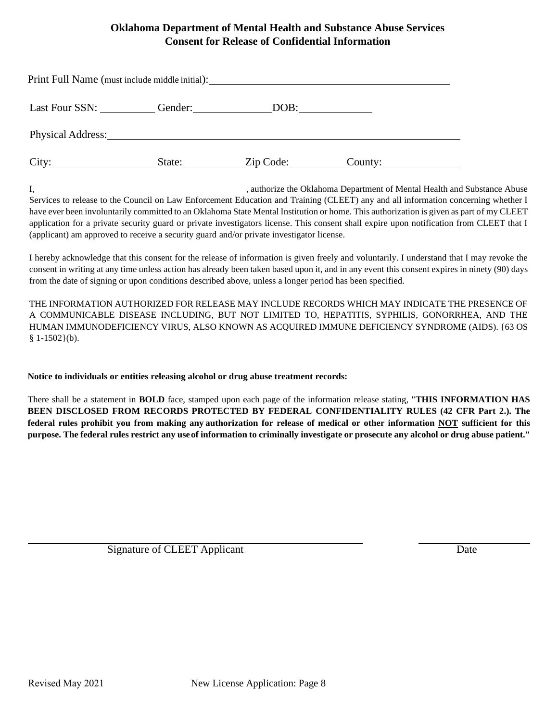### **Oklahoma Department of Mental Health and Substance Abuse Services Consent for Release of Confidential Information**

| Print Full Name (must include middle initial):                                                                                                                                                                                 |         |           |  |  |  |  |
|--------------------------------------------------------------------------------------------------------------------------------------------------------------------------------------------------------------------------------|---------|-----------|--|--|--|--|
| Last Four SSN:                                                                                                                                                                                                                 | Gender: | DOB:      |  |  |  |  |
| Physical Address: No. 1996. The Second Second Second Second Second Second Second Second Second Second Second Second Second Second Second Second Second Second Second Second Second Second Second Second Second Second Second S |         |           |  |  |  |  |
| City:<br><u> 1990 - Jan Jawa</u>                                                                                                                                                                                               | State:  | Zip Code: |  |  |  |  |

I, 1. **I.**  $\frac{1}{2}$  authorize the Oklahoma Department of Mental Health and Substance Abuse Services to release to the Council on Law Enforcement Education and Training (CLEET) any and all information concerning whether I have ever been involuntarily committed to an Oklahoma State Mental Institution or home. This authorization is given as part of my CLEET application for a private security guard or private investigators license. This consent shall expire upon notification from CLEET that I (applicant) am approved to receive a security guard and/or private investigator license.

I hereby acknowledge that this consent for the release of information is given freely and voluntarily. I understand that I may revoke the consent in writing at any time unless action has already been taken based upon it, and in any event this consent expires in ninety (90) days from the date of signing or upon conditions described above, unless a longer period has been specified.

THE INFORMATION AUTHORIZED FOR RELEASE MAY INCLUDE RECORDS WHICH MAY INDICATE THE PRESENCE OF A COMMUNICABLE DISEASE INCLUDING, BUT NOT LIMITED TO, HEPATITIS, SYPHILIS, GONORRHEA, AND THE HUMAN IMMUNODEFICIENCY VIRUS, ALSO KNOWN AS ACQUIRED IMMUNE DEFICIENCY SYNDROME (AIDS). {63 OS  $§ 1-1502(b).$ 

#### **Notice to individuals or entities releasing alcohol or drug abuse treatment records:**

There shall be a statement in **BOLD** face, stamped upon each page of the information release stating, "**THIS INFORMATION HAS BEEN DISCLOSED FROM RECORDS PROTECTED BY FEDERAL CONFIDENTIALITY RULES (42 CFR Part 2.). The federal rules prohibit you from making any authorization for release of medical or other information NOT sufficient for this purpose. The federal rules restrict any useof information to criminally investigate or prosecute any alcohol or drug abuse patient."**

Signature of CLEET Applicant Date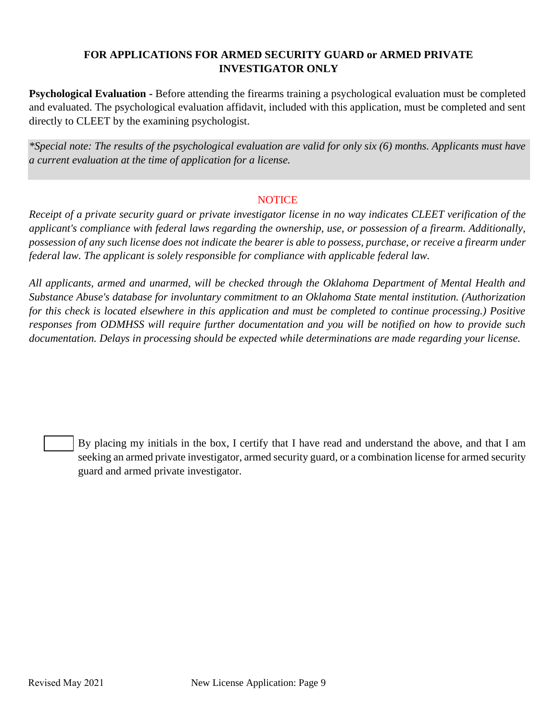### **FOR APPLICATIONS FOR ARMED SECURITY GUARD or ARMED PRIVATE INVESTIGATOR ONLY**

**Psychological Evaluation -** Before attending the firearms training a psychological evaluation must be completed and evaluated. The psychological evaluation affidavit, included with this application, must be completed and sent directly to CLEET by the examining psychologist.

*\*Special note: The results of the psychological evaluation are valid for only six (6) months. Applicants must have a current evaluation at the time of application for a license.*

### **NOTICE**

*Receipt of a private security guard or private investigator license in no way indicates CLEET verification of the applicant's compliance with federal laws regarding the ownership, use, or possession of a firearm. Additionally, possession of any such license does not indicate the bearer is able to possess, purchase, or receive a firearm under federal law. The applicant is solely responsible for compliance with applicable federal law.*

*All applicants, armed and unarmed, will be checked through the Oklahoma Department of Mental Health and Substance Abuse's database for involuntary commitment to an Oklahoma State mental institution. (Authorization for this check is located elsewhere in this application and must be completed to continue processing.) Positive responses from ODMHSS will require further documentation and you will be notified on how to provide such documentation. Delays in processing should be expected while determinations are made regarding your license.*

By placing my initials in the box, I certify that I have read and understand the above, and that I am seeking an armed private investigator, armed security guard, or a combination license for armed security guard and armed private investigator.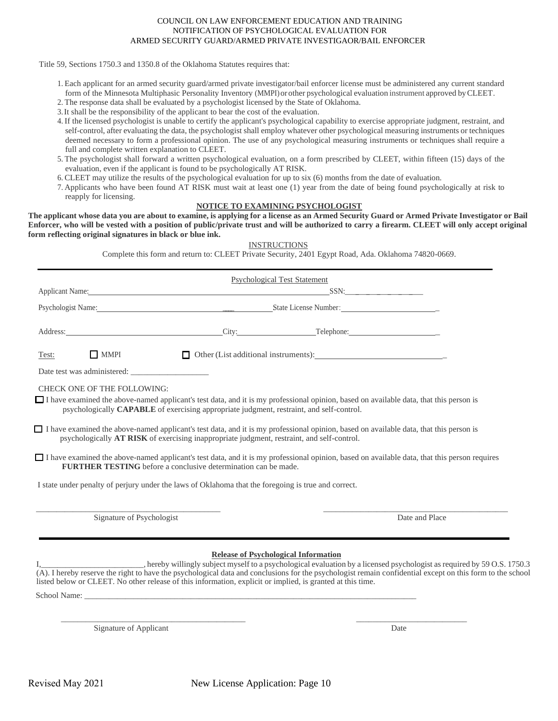#### COUNCIL ON LAW ENFORCEMENT EDUCATION AND TRAINING NOTIFICATION OF PSYCHOLOGICAL EVALUATION FOR ARMED SECURITY GUARD/ARMED PRIVATE INVESTIGAOR/BAIL ENFORCER

Title 59, Sections 1750.3 and 1350.8 of the Oklahoma Statutes requires that:

- 1. Each applicant for an armed security guard/armed private investigator/bail enforcer license must be administered any current standard form of the Minnesota Multiphasic Personality Inventory (MMPI)orother psychological evaluation instrument approved byCLEET.
- 2. The response data shall be evaluated by a psychologist licensed by the State of Oklahoma.
- 3.It shall be the responsibility of the applicant to bear the cost of the evaluation.
- 4. If the licensed psychologist is unable to certify the applicant's psychological capability to exercise appropriate judgment, restraint, and self-control, after evaluating the data, the psychologist shall employ whatever other psychological measuring instruments or techniques deemed necessary to form a professional opinion. The use of any psychological measuring instruments or techniques shall require a full and complete written explanation to CLEET.
- 5. The psychologist shall forward a written psychological evaluation, on a form prescribed by CLEET, within fifteen (15) days of the evaluation, even if the applicant is found to be psychologically AT RISK.
- 6. CLEET may utilize the results of the psychological evaluation for up to six (6) months from the date of evaluation.
- 7. Applicants who have been found AT RISK must wait at least one (1) year from the date of being found psychologically at risk to reapply for licensing.

#### **NOTICE TO EXAMINING PSYCHOLOGIST**

**The applicant whose data you are about to examine, is applying for a license as an Armed Security Guard or Armed Private Investigator or Bail Enforcer, who will be vested with a position of public/private trust and will be authorized to carry a firearm. CLEET will only accept original form reflecting original signatures in black or blue ink.**

| <b>INSTRUCTIONS</b>   |  |
|-----------------------|--|
| Private Security 2401 |  |

| Complete this form and return to: CLEET Private Security, 2401 Egypt Road, Ada. Oklahoma 74820-0669. |  |
|------------------------------------------------------------------------------------------------------|--|
|------------------------------------------------------------------------------------------------------|--|

|                                                                                                                                                                                                                                                                                                                                                                                                                                                                                                                                       | <b>Psychological Test Statement</b>         |                                                                                                                        |
|---------------------------------------------------------------------------------------------------------------------------------------------------------------------------------------------------------------------------------------------------------------------------------------------------------------------------------------------------------------------------------------------------------------------------------------------------------------------------------------------------------------------------------------|---------------------------------------------|------------------------------------------------------------------------------------------------------------------------|
| Applicant Name: SSN: Sample Contract Contract Contract Contract Contract Contract Contract Contract Contract Contract Contract Contract Contract Contract Contract Contract Contract Contract Contract Contract Contract Contr                                                                                                                                                                                                                                                                                                        |                                             |                                                                                                                        |
| Psychologist Name: State License Number:                                                                                                                                                                                                                                                                                                                                                                                                                                                                                              |                                             |                                                                                                                        |
| Address: City: City: Telephone: City: Telephone: City: Telephone: City: Telephone: City: City: Telephone: City: Telephone: City: Telephone: City: Telephone: City: Telephone: City: City: Telephone: City: City: Telephone: Ci                                                                                                                                                                                                                                                                                                        |                                             |                                                                                                                        |
| MMPI<br>Test:                                                                                                                                                                                                                                                                                                                                                                                                                                                                                                                         |                                             |                                                                                                                        |
|                                                                                                                                                                                                                                                                                                                                                                                                                                                                                                                                       |                                             |                                                                                                                        |
| <b>CHECK ONE OF THE FOLLOWING:</b><br>$\Box$ I have examined the above-named applicant's test data, and it is my professional opinion, based on available data, that this person is<br>psychologically <b>CAPABLE</b> of exercising appropriate judgment, restraint, and self-control.<br>$\Box$ I have examined the above-named applicant's test data, and it is my professional opinion, based on available data, that this person is<br>psychologically AT RISK of exercising inappropriate judgment, restraint, and self-control. |                                             |                                                                                                                        |
| $\Box$ I have examined the above-named applicant's test data, and it is my professional opinion, based on available data, that this person requires<br><b>FURTHER TESTING</b> before a conclusive determination can be made.                                                                                                                                                                                                                                                                                                          |                                             |                                                                                                                        |
| I state under penalty of perjury under the laws of Oklahoma that the foregoing is true and correct.                                                                                                                                                                                                                                                                                                                                                                                                                                   |                                             |                                                                                                                        |
| Signature of Psychologist                                                                                                                                                                                                                                                                                                                                                                                                                                                                                                             |                                             | Date and Place                                                                                                         |
| (A). I hereby reserve the right to have the psychological data and conclusions for the psychologist remain confidential except on this form to the school<br>listed below or CLEET. No other release of this information, explicit or implied, is granted at this time.                                                                                                                                                                                                                                                               | <b>Release of Psychological Information</b> | hereby willingly subject myself to a psychological evaluation by a licensed psychologist as required by 59 O.S. 1750.3 |

School Name:

Signature of Applicant Date

\_\_\_\_\_\_\_\_\_\_\_\_\_\_\_\_\_\_\_\_\_\_\_\_\_\_\_\_\_\_\_\_\_\_\_\_\_\_\_\_\_\_\_\_\_ \_\_\_\_\_\_\_\_\_\_\_\_\_\_\_\_\_\_\_\_\_\_\_\_\_\_\_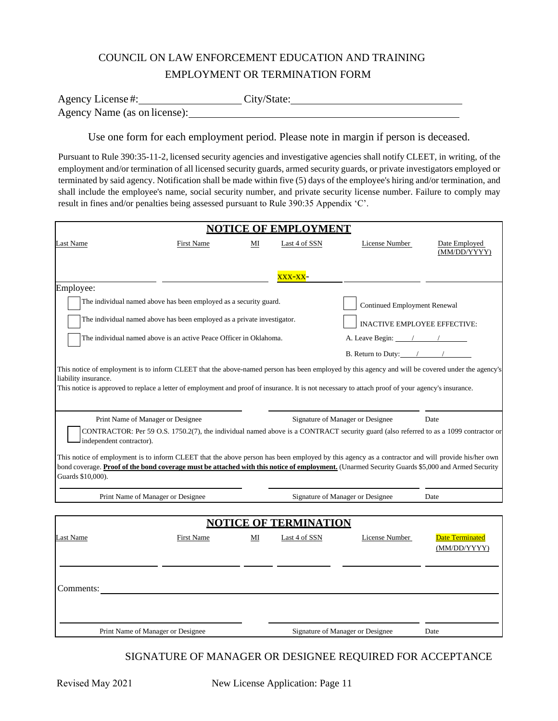# COUNCIL ON LAW ENFORCEMENT EDUCATION AND TRAINING EMPLOYMENT OR TERMINATION FORM

| Agency License#:             | City/State: |  |
|------------------------------|-------------|--|
| Agency Name (as on license): |             |  |

Use one form for each employment period. Please note in margin if person is deceased.

Pursuant to Rule 390:35-11-2, licensed security agencies and investigative agencies shall notify CLEET, in writing, of the employment and/or termination of all licensed security guards, armed security guards, or private investigators employed or terminated by said agency. Notification shall be made within five (5) days of the employee's hiring and/or termination, and shall include the employee's name, social security number, and private security license number. Failure to comply may result in fines and/or penalties being assessed pursuant to Rule 390:35 Appendix 'C'.

|                                                                                                                                                                                                                                                                                                                                                     |                                                                         |    | <b>NOTICE OF EMPLOYMENT</b>                   |                                                                                                                                                                          |                                        |
|-----------------------------------------------------------------------------------------------------------------------------------------------------------------------------------------------------------------------------------------------------------------------------------------------------------------------------------------------------|-------------------------------------------------------------------------|----|-----------------------------------------------|--------------------------------------------------------------------------------------------------------------------------------------------------------------------------|----------------------------------------|
| Last Name                                                                                                                                                                                                                                                                                                                                           | <b>First Name</b>                                                       | ΜI | Last 4 of SSN                                 | License Number                                                                                                                                                           | Date Employed<br>(MM/DD/YYYY)          |
|                                                                                                                                                                                                                                                                                                                                                     |                                                                         |    | XXX-XX-                                       |                                                                                                                                                                          |                                        |
| Employee:                                                                                                                                                                                                                                                                                                                                           |                                                                         |    |                                               |                                                                                                                                                                          |                                        |
|                                                                                                                                                                                                                                                                                                                                                     | The individual named above has been employed as a security guard.       |    |                                               | <b>Continued Employment Renewal</b>                                                                                                                                      |                                        |
|                                                                                                                                                                                                                                                                                                                                                     | The individual named above has been employed as a private investigator. |    |                                               | <b>INACTIVE EMPLOYEE EFFECTIVE:</b>                                                                                                                                      |                                        |
|                                                                                                                                                                                                                                                                                                                                                     | The individual named above is an active Peace Officer in Oklahoma.      |    |                                               | A. Leave Begin: $\frac{1}{\sqrt{2}}$                                                                                                                                     |                                        |
|                                                                                                                                                                                                                                                                                                                                                     |                                                                         |    |                                               | B. Return to Duty: $\frac{1}{\sqrt{1-\frac{1}{2}}}\left\vert \frac{1}{\sqrt{1-\frac{1}{2}}}\right\vert$                                                                  |                                        |
| This notice of employment is to inform CLEET that the above-named person has been employed by this agency and will be covered under the agency's<br>liability insurance.<br>This notice is approved to replace a letter of employment and proof of insurance. It is not necessary to attach proof of your agency's insurance.                       |                                                                         |    |                                               |                                                                                                                                                                          |                                        |
| independent contractor).<br>This notice of employment is to inform CLEET that the above person has been employed by this agency as a contractor and will provide his/her own<br>bond coverage. Proof of the bond coverage must be attached with this notice of employment. (Unarmed Security Guards \$5,000 and Armed Security<br>Guards \$10,000). | Print Name of Manager or Designee                                       |    |                                               | Signature of Manager or Designee<br>CONTRACTOR: Per 59 O.S. 1750.2(7), the individual named above is a CONTRACT security guard (also referred to as a 1099 contractor or | Date                                   |
|                                                                                                                                                                                                                                                                                                                                                     | Print Name of Manager or Designee                                       |    |                                               | Signature of Manager or Designee                                                                                                                                         | Date                                   |
| Last Name<br>Comments:                                                                                                                                                                                                                                                                                                                              | First Name                                                              | MI | <b>NOTICE OF TERMINATION</b><br>Last 4 of SSN | License Number                                                                                                                                                           | <b>Date Terminated</b><br>(MM/DD/YYYY) |
|                                                                                                                                                                                                                                                                                                                                                     | Print Name of Manager or Designee                                       |    |                                               | Signature of Manager or Designee                                                                                                                                         | Date                                   |

### SIGNATURE OF MANAGER OR DESIGNEE REQUIRED FOR ACCEPTANCE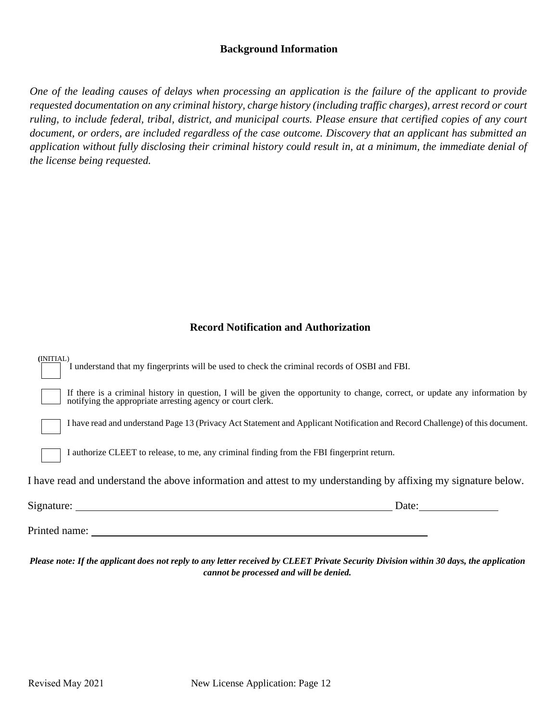### **Background Information**

*One of the leading causes of delays when processing an application is the failure of the applicant to provide requested documentation on any criminal history, charge history (including traffic charges), arrest record or court ruling, to include federal, tribal, district, and municipal courts. Please ensure that certified copies of any court document, or orders, are included regardless of the case outcome. Discovery that an applicant has submitted an application without fully disclosing their criminal history could result in, at a minimum, the immediate denial of the license being requested.*

### **Record Notification and Authorization**

| (INITIAL)<br>I understand that my fingerprints will be used to check the criminal records of OSBI and FBI.                                                                                 |
|--------------------------------------------------------------------------------------------------------------------------------------------------------------------------------------------|
| If there is a criminal history in question, I will be given the opportunity to change, correct, or update any information by<br>notifying the appropriate arresting agency or court clerk. |
| I have read and understand Page 13 (Privacy Act Statement and Applicant Notification and Record Challenge) of this document.                                                               |
| I authorize CLEET to release, to me, any criminal finding from the FBI fingerprint return.                                                                                                 |
| I have read and understand the above information and attest to my understanding by affixing my signature below.                                                                            |
| Date: $\qquad \qquad$                                                                                                                                                                      |
| Printed name:                                                                                                                                                                              |

*Please note: If the applicant does not reply to any letter received by CLEET Private Security Division within 30 days, the application cannot be processed and will be denied.*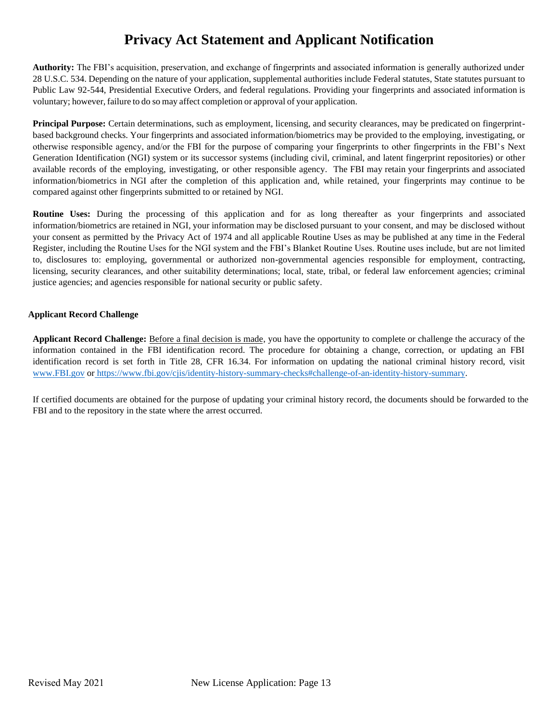# **Privacy Act Statement and Applicant Notification**

**Authority:** The FBI's acquisition, preservation, and exchange of fingerprints and associated information is generally authorized under 28 U.S.C. 534. Depending on the nature of your application, supplemental authorities include Federal statutes, State statutes pursuant to Public Law 92-544, Presidential Executive Orders, and federal regulations. Providing your fingerprints and associated information is voluntary; however, failure to do so may affect completion or approval of your application.

**Principal Purpose:** Certain determinations, such as employment, licensing, and security clearances, may be predicated on fingerprintbased background checks. Your fingerprints and associated information/biometrics may be provided to the employing, investigating, or otherwise responsible agency, and/or the FBI for the purpose of comparing your fingerprints to other fingerprints in the FBI's Next Generation Identification (NGI) system or its successor systems (including civil, criminal, and latent fingerprint repositories) or other available records of the employing, investigating, or other responsible agency. The FBI may retain your fingerprints and associated information/biometrics in NGI after the completion of this application and, while retained, your fingerprints may continue to be compared against other fingerprints submitted to or retained by NGI.

**Routine Uses:** During the processing of this application and for as long thereafter as your fingerprints and associated information/biometrics are retained in NGI, your information may be disclosed pursuant to your consent, and may be disclosed without your consent as permitted by the Privacy Act of 1974 and all applicable Routine Uses as may be published at any time in the Federal Register, including the Routine Uses for the NGI system and the FBI's Blanket Routine Uses. Routine uses include, but are not li[mited](https://www.fbi.gov/cjis/identity-history-summary-checks#challenge-of-an-identity-history-summary)  to, [disclosures](https://www.fbi.gov/cjis/identity-history-summary-checks#challenge-of-an-identity-history-summary) to: employing, governmental or authorized non-governmental agencies responsible for employment, contracting, licensing, security clearances, and other suitability determinations; local, state, tribal, or federal law enforcement agencies; criminal justice agencies; and agencies responsible for national security or public safety.

#### **Applicant Record Challenge**

**Applicant Record Challenge:** Before a final decision is made, you have the opportunity to complete or challenge the accuracy of the information contained in the FBI identification record. The procedure for obtaining a change, correction, or updating an FBI identification record is set forth in Title 28, CFR 16.34. For information on updating the national criminal history record, visit [www.FBI.gov](http://www.fbi.gov/) or https:/[/www.fbi.gov/cjis/identity-history-summary-checks#challenge-of-an-identity-history-summary.](http://www.fbi.gov/cjis/identity-history-summary-checks#challenge-of-an-identity-history-summary) 

If certified documents are obtained for the purpose of updating your criminal history record, the documents should be forwarded to the FBI and to the repository in the state where the arrest occurred.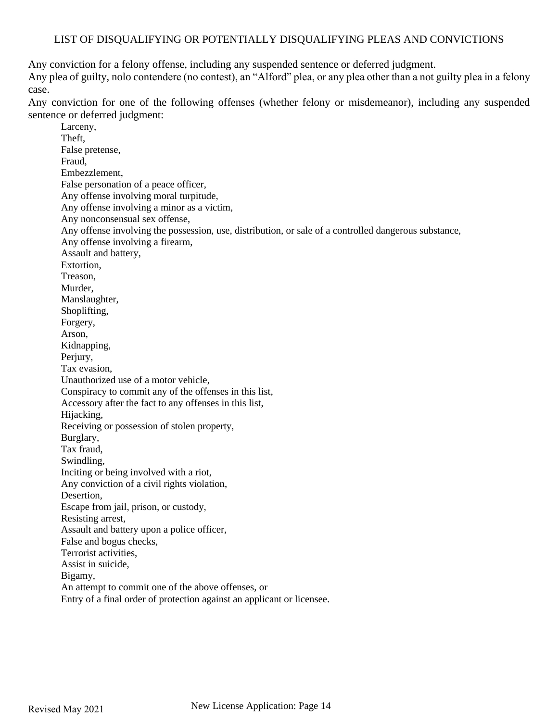### LIST OF DISQUALIFYING OR POTENTIALLY DISQUALIFYING PLEAS AND CONVICTIONS

Any conviction for a felony offense, including any suspended sentence or deferred judgment.

Any plea of guilty, nolo contendere (no contest), an "Alford" plea, or any plea other than a not guilty plea in a felony case.

Any conviction for one of the following offenses (whether felony or misdemeanor), including any suspended sentence or deferred judgment:

Larceny, Theft, False pretense, Fraud, Embezzlement, False personation of a peace officer, Any offense involving moral turpitude, Any offense involving a minor as a victim, Any nonconsensual sex offense, Any offense involving the possession, use, distribution, or sale of a controlled dangerous substance, Any offense involving a firearm, Assault and battery, Extortion, Treason, Murder, Manslaughter, Shoplifting, Forgery, Arson, Kidnapping, Perjury, Tax evasion, Unauthorized use of a motor vehicle, Conspiracy to commit any of the offenses in this list, Accessory after the fact to any offenses in this list, Hijacking, Receiving or possession of stolen property, Burglary, Tax fraud, Swindling, Inciting or being involved with a riot, Any conviction of a civil rights violation, Desertion, Escape from jail, prison, or custody, Resisting arrest, Assault and battery upon a police officer, False and bogus checks, Terrorist activities, Assist in suicide, Bigamy, An attempt to commit one of the above offenses, or Entry of a final order of protection against an applicant or licensee.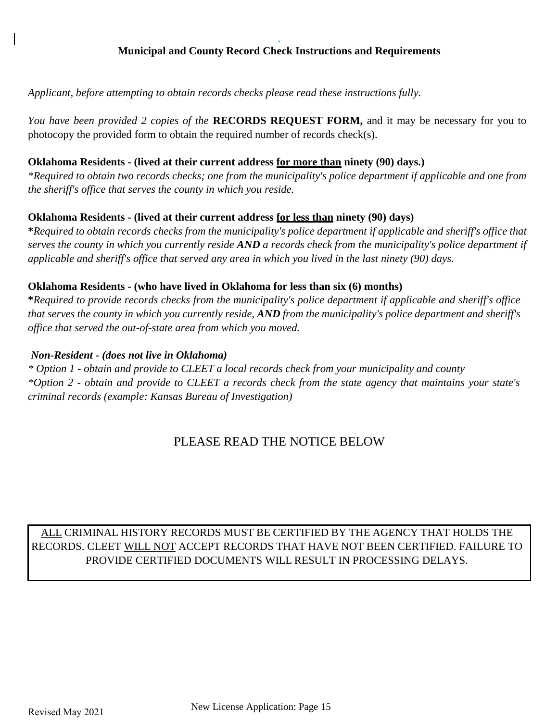#### . **Municipal and County Record Check Instructions and Requirements**

*Applicant, before attempting to obtain records checks please read these instructions fully.*

*You have been provided 2 copies of the* **RECORDS REQUEST FORM,** and it may be necessary for you to photocopy the provided form to obtain the required number of records check(s).

### **Oklahoma Residents - (lived at their current address for more than ninety (90) days.)**

*\*Required to obtain two records checks; one from the municipality's police department if applicable and one from the sheriff's office that serves the county in which you reside.*

### **Oklahoma Residents - (lived at their current address for less than ninety (90) days)**

**\****Required to obtain records checks from the municipality's police department if applicable and sheriff's office that serves the county in which you currently reside AND a records check from the municipality's police department if applicable and sheriff's office that served any area in which you lived in the last ninety (90) days.*

### **Oklahoma Residents - (who have lived in Oklahoma for less than six (6) months)**

**\****Required to provide records checks from the municipality's police department if applicable and sheriff's office that serves the county in which you currently reside, AND from the municipality's police department and sheriff's office that served the out-of-state area from which you moved.*

### *Non-Resident - (does not live in Oklahoma)*

*\* Option 1 - obtain and provide to CLEET a local records check from your municipality and county \*Option 2 - obtain and provide to CLEET a records check from the state agency that maintains your state's criminal records (example: Kansas Bureau of Investigation)*

# PLEASE READ THE NOTICE BELOW

# ALL CRIMINAL HISTORY RECORDS MUST BE CERTIFIED BY THE AGENCY THAT HOLDS THE RECORDS. CLEET WILL NOT ACCEPT RECORDS THAT HAVE NOT BEEN CERTIFIED. FAILURE TO PROVIDE CERTIFIED DOCUMENTS WILL RESULT IN PROCESSING DELAYS.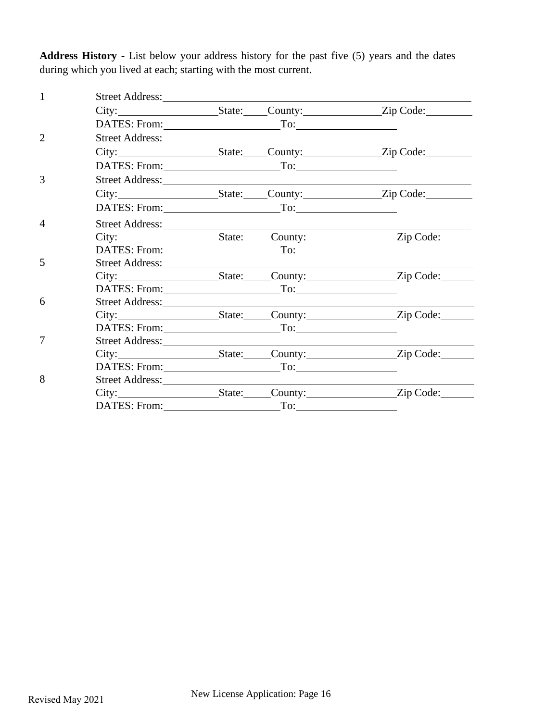**Address History** - List below your address history for the past five (5) years and the dates during which you lived at each; starting with the most current.

| $\mathbf{1}$   | Street Address:           |  |                                |
|----------------|---------------------------|--|--------------------------------|
|                |                           |  |                                |
|                | DATES: From: To: To:      |  |                                |
| $\overline{2}$ |                           |  |                                |
|                |                           |  |                                |
|                | DATES: From: To: To:      |  |                                |
| 3              | Street Address: No. 1986. |  |                                |
|                |                           |  |                                |
|                | DATES: From: To: To:      |  |                                |
| $\overline{4}$ | Street Address:           |  |                                |
|                | City:                     |  | State: County: Zip Code:       |
|                | DATES: From: To: To:      |  |                                |
| 5              | Street Address: No. 1996  |  |                                |
|                |                           |  | City: State: County: Zip Code: |
|                | DATES: From: To: To:      |  |                                |
| 6              | Street Address: No. 1996  |  |                                |
|                |                           |  | City: State: County: Zip Code: |
|                | DATES: From: To: To:      |  |                                |
| $\overline{7}$ | Street Address:           |  |                                |
|                |                           |  |                                |
|                | DATES: From: To: To:      |  |                                |
| 8              | Street Address:           |  |                                |
|                |                           |  |                                |
|                |                           |  |                                |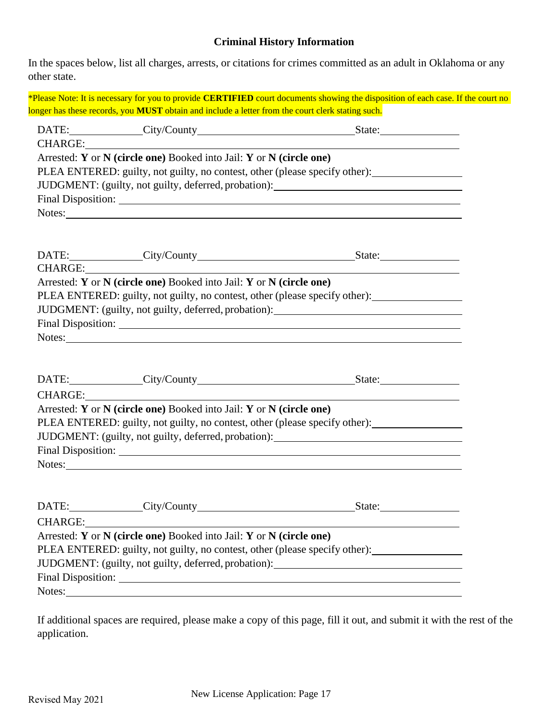### **Criminal History Information**

In the spaces below, list all charges, arrests, or citations for crimes committed as an adult in Oklahoma or any other state.

\*Please Note: It is necessary for you to provide **CERTIFIED** court documents showing the disposition of each case. If the court no longer has these records, you **MUST** obtain and include a letter from the court clerk stating such.

|         | DATE: City/County                                                   | State:                                                                           |
|---------|---------------------------------------------------------------------|----------------------------------------------------------------------------------|
|         | CHARGE:                                                             |                                                                                  |
|         | Arrested: Y or N (circle one) Booked into Jail: Y or N (circle one) |                                                                                  |
|         |                                                                     | PLEA ENTERED: guilty, not guilty, no contest, other (please specify other):      |
|         |                                                                     | JUDGMENT: (guilty, not guilty, deferred, probation): ___________________________ |
|         |                                                                     |                                                                                  |
|         | Notes:                                                              |                                                                                  |
|         |                                                                     |                                                                                  |
|         |                                                                     |                                                                                  |
|         | DATE: City/County                                                   | State: $\frac{1}{\sqrt{1-\frac{1}{2}} \cdot \frac{1}{2}}$                        |
| CHARGE: |                                                                     |                                                                                  |
|         | Arrested: Y or N (circle one) Booked into Jail: Y or N (circle one) |                                                                                  |

PLEA ENTERED: guilty, not guilty, no contest, other (please specify other):

JUDGMENT: (guilty, not guilty, deferred, probation):

| <b>Final Disposition:</b> |  |  |
|---------------------------|--|--|
| Notes:                    |  |  |

| DATE: City/County                                                   | State:                                                                      |
|---------------------------------------------------------------------|-----------------------------------------------------------------------------|
| CHARGE:                                                             |                                                                             |
| Arrested: Y or N (circle one) Booked into Jail: Y or N (circle one) |                                                                             |
|                                                                     | PLEA ENTERED: guilty, not guilty, no contest, other (please specify other): |
|                                                                     | JUDGMENT: (guilty, not guilty, deferred, probation):                        |
|                                                                     |                                                                             |
| Notes:                                                              |                                                                             |
|                                                                     |                                                                             |

|         | DATE: City/County                                                   | State:                                                                           |
|---------|---------------------------------------------------------------------|----------------------------------------------------------------------------------|
| CHARGE: |                                                                     |                                                                                  |
|         | Arrested: Y or N (circle one) Booked into Jail: Y or N (circle one) |                                                                                  |
|         |                                                                     | PLEA ENTERED: guilty, not guilty, no contest, other (please specify other):      |
|         |                                                                     | JUDGMENT: (guilty, not guilty, deferred, probation): ___________________________ |
|         | Final Disposition: New York 1988                                    |                                                                                  |
| Notes:  |                                                                     |                                                                                  |

If additional spaces are required, please make a copy of this page, fill it out, and submit it with the rest of the application.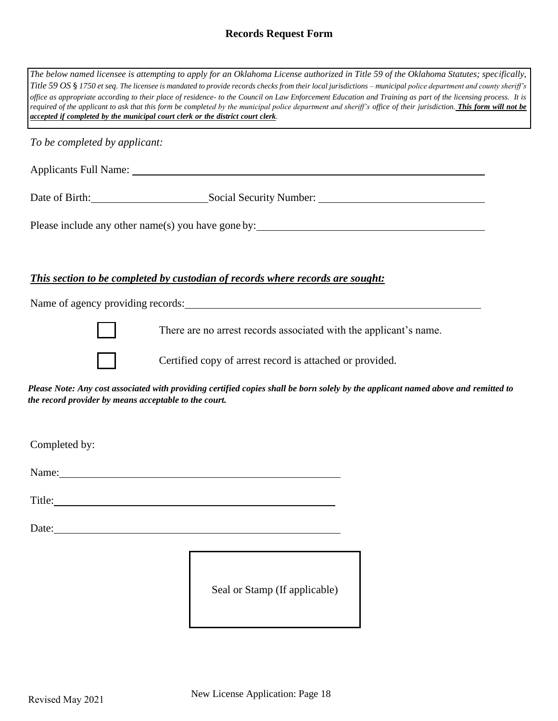### **Records Request Form**

|                                                       | The below named licensee is attempting to apply for an Oklahoma License authorized in Title 59 of the Oklahoma Statutes; specifically,<br>Title 59 OS § 1750 et seq. The licensee is mandated to provide records checks from their local jurisdictions - municipal police department and county sheriff's<br>office as appropriate according to their place of residence- to the Council on Law Enforcement Education and Training as part of the licensing process. It is<br>required of the applicant to ask that this form be completed by the municipal police department and sheriff's office of their jurisdiction. This form will not be<br>accepted if completed by the municipal court clerk or the district court clerk. |
|-------------------------------------------------------|------------------------------------------------------------------------------------------------------------------------------------------------------------------------------------------------------------------------------------------------------------------------------------------------------------------------------------------------------------------------------------------------------------------------------------------------------------------------------------------------------------------------------------------------------------------------------------------------------------------------------------------------------------------------------------------------------------------------------------|
| To be completed by applicant:                         |                                                                                                                                                                                                                                                                                                                                                                                                                                                                                                                                                                                                                                                                                                                                    |
|                                                       |                                                                                                                                                                                                                                                                                                                                                                                                                                                                                                                                                                                                                                                                                                                                    |
|                                                       |                                                                                                                                                                                                                                                                                                                                                                                                                                                                                                                                                                                                                                                                                                                                    |
|                                                       | Please include any other name(s) you have gone by:                                                                                                                                                                                                                                                                                                                                                                                                                                                                                                                                                                                                                                                                                 |
|                                                       |                                                                                                                                                                                                                                                                                                                                                                                                                                                                                                                                                                                                                                                                                                                                    |
|                                                       | This section to be completed by custodian of records where records are sought:                                                                                                                                                                                                                                                                                                                                                                                                                                                                                                                                                                                                                                                     |
|                                                       |                                                                                                                                                                                                                                                                                                                                                                                                                                                                                                                                                                                                                                                                                                                                    |
|                                                       | There are no arrest records associated with the applicant's name.                                                                                                                                                                                                                                                                                                                                                                                                                                                                                                                                                                                                                                                                  |
|                                                       | Certified copy of arrest record is attached or provided.                                                                                                                                                                                                                                                                                                                                                                                                                                                                                                                                                                                                                                                                           |
| the record provider by means acceptable to the court. | Please Note: Any cost associated with providing certified copies shall be born solely by the applicant named above and remitted to                                                                                                                                                                                                                                                                                                                                                                                                                                                                                                                                                                                                 |
|                                                       |                                                                                                                                                                                                                                                                                                                                                                                                                                                                                                                                                                                                                                                                                                                                    |
| Completed by:                                         |                                                                                                                                                                                                                                                                                                                                                                                                                                                                                                                                                                                                                                                                                                                                    |
|                                                       | Name:                                                                                                                                                                                                                                                                                                                                                                                                                                                                                                                                                                                                                                                                                                                              |
|                                                       |                                                                                                                                                                                                                                                                                                                                                                                                                                                                                                                                                                                                                                                                                                                                    |
| Date:                                                 |                                                                                                                                                                                                                                                                                                                                                                                                                                                                                                                                                                                                                                                                                                                                    |

Seal or Stamp (If applicable)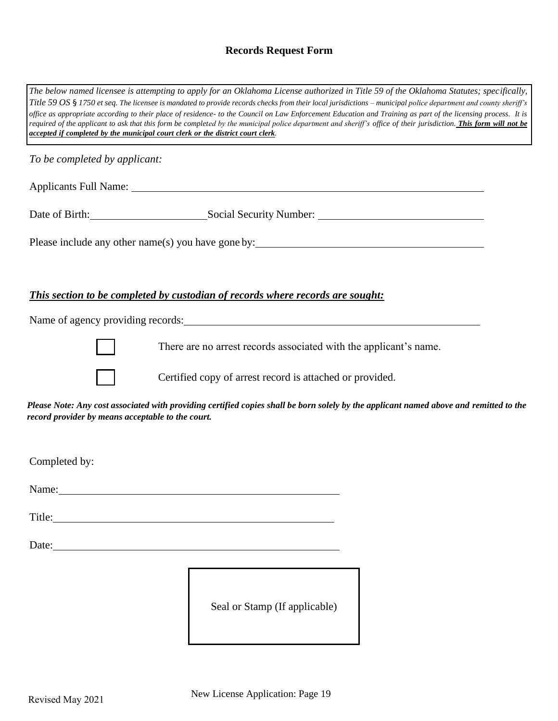# **Records Request Form**

| The below named licensee is attempting to apply for an Oklahoma License authorized in Title 59 of the Oklahoma Statutes; specifically,<br>Title 59 OS § 1750 et seq. The licensee is mandated to provide records checks from their local jurisdictions - municipal police department and county sheriff's<br>office as appropriate according to their place of residence- to the Council on Law Enforcement Education and Training as part of the licensing process. It is<br>required of the applicant to ask that this form be completed by the municipal police department and sheriff's office of their jurisdiction. This form will not be<br>accepted if completed by the municipal court clerk or the district court clerk. |  |  |
|------------------------------------------------------------------------------------------------------------------------------------------------------------------------------------------------------------------------------------------------------------------------------------------------------------------------------------------------------------------------------------------------------------------------------------------------------------------------------------------------------------------------------------------------------------------------------------------------------------------------------------------------------------------------------------------------------------------------------------|--|--|
| To be completed by applicant:                                                                                                                                                                                                                                                                                                                                                                                                                                                                                                                                                                                                                                                                                                      |  |  |
|                                                                                                                                                                                                                                                                                                                                                                                                                                                                                                                                                                                                                                                                                                                                    |  |  |
|                                                                                                                                                                                                                                                                                                                                                                                                                                                                                                                                                                                                                                                                                                                                    |  |  |
|                                                                                                                                                                                                                                                                                                                                                                                                                                                                                                                                                                                                                                                                                                                                    |  |  |
| This section to be completed by custodian of records where records are sought:                                                                                                                                                                                                                                                                                                                                                                                                                                                                                                                                                                                                                                                     |  |  |
|                                                                                                                                                                                                                                                                                                                                                                                                                                                                                                                                                                                                                                                                                                                                    |  |  |
| There are no arrest records associated with the applicant's name.                                                                                                                                                                                                                                                                                                                                                                                                                                                                                                                                                                                                                                                                  |  |  |
| Certified copy of arrest record is attached or provided.                                                                                                                                                                                                                                                                                                                                                                                                                                                                                                                                                                                                                                                                           |  |  |
| Please Note: Any cost associated with providing certified copies shall be born solely by the applicant named above and remitted to the<br>record provider by means acceptable to the court.                                                                                                                                                                                                                                                                                                                                                                                                                                                                                                                                        |  |  |
| Completed by:                                                                                                                                                                                                                                                                                                                                                                                                                                                                                                                                                                                                                                                                                                                      |  |  |
| Name: Name and the set of the set of the set of the set of the set of the set of the set of the set of the set of the set of the set of the set of the set of the set of the set of the set of the set of the set of the set o                                                                                                                                                                                                                                                                                                                                                                                                                                                                                                     |  |  |
| Title: The contract of the contract of the contract of the contract of the contract of the contract of the contract of the contract of the contract of the contract of the contract of the contract of the contract of the con                                                                                                                                                                                                                                                                                                                                                                                                                                                                                                     |  |  |
|                                                                                                                                                                                                                                                                                                                                                                                                                                                                                                                                                                                                                                                                                                                                    |  |  |
| Seal or Stamp (If applicable)                                                                                                                                                                                                                                                                                                                                                                                                                                                                                                                                                                                                                                                                                                      |  |  |